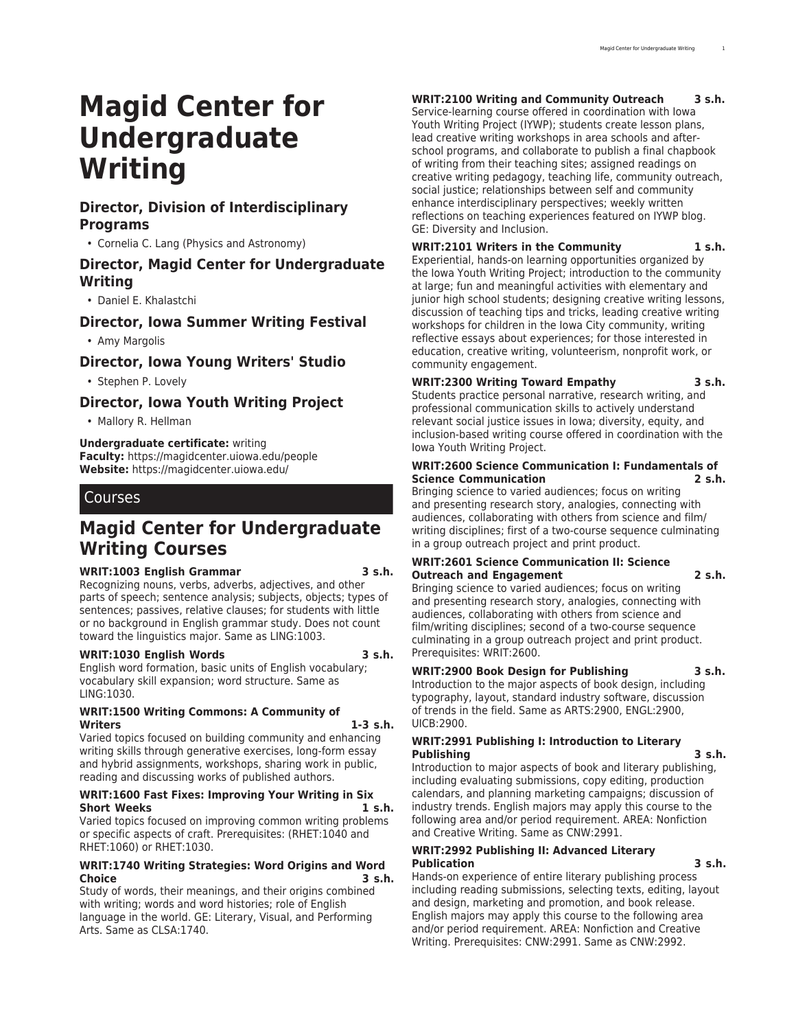# **Magid Center for Undergraduate Writing**

# **Director, Division of Interdisciplinary Programs**

• Cornelia C. Lang (Physics and Astronomy)

# **Director, Magid Center for Undergraduate Writing**

• Daniel E. Khalastchi

# **Director, Iowa Summer Writing Festival**

• Amy Margolis

# **Director, Iowa Young Writers' Studio**

• Stephen P. Lovely

# **Director, Iowa Youth Writing Project**

• Mallory R. Hellman

#### **Undergraduate certificate:** writing

**Faculty:** [https://magidcenter.uiowa.edu/people](https://magidcenter.uiowa.edu/people/) **Website:** <https://magidcenter.uiowa.edu/>

# Courses

# **Magid Center for Undergraduate Writing Courses**

#### **WRIT:1003 English Grammar 3 s.h.**

Recognizing nouns, verbs, adverbs, adjectives, and other parts of speech; sentence analysis; subjects, objects; types of sentences; passives, relative clauses; for students with little or no background in English grammar study. Does not count toward the linguistics major. Same as LING:1003.

#### **WRIT:1030 English Words 3 s.h.**

English word formation, basic units of English vocabulary; vocabulary skill expansion; word structure. Same as LING:1030.

#### **WRIT:1500 Writing Commons: A Community of Writers 1-3 s.h.**

Varied topics focused on building community and enhancing writing skills through generative exercises, long-form essay and hybrid assignments, workshops, sharing work in public, reading and discussing works of published authors.

#### **WRIT:1600 Fast Fixes: Improving Your Writing in Six Short Weeks 1 s.h.**

Varied topics focused on improving common writing problems or specific aspects of craft. Prerequisites: (RHET:1040 and RHET:1060) or RHET:1030.

#### **WRIT:1740 Writing Strategies: Word Origins and Word Choice 3 s.h.**

Study of words, their meanings, and their origins combined with writing; words and word histories; role of English language in the world. GE: Literary, Visual, and Performing Arts. Same as CLSA:1740.

# **WRIT:2100 Writing and Community Outreach 3 s.h.**

Service-learning course offered in coordination with Iowa Youth Writing Project (IYWP); students create lesson plans, lead creative writing workshops in area schools and afterschool programs, and collaborate to publish a final chapbook of writing from their teaching sites; assigned readings on creative writing pedagogy, teaching life, community outreach, social justice; relationships between self and community enhance interdisciplinary perspectives; weekly written reflections on teaching experiences featured on IYWP blog. GE: Diversity and Inclusion.

## **WRIT:2101 Writers in the Community 1 s.h.**

Experiential, hands-on learning opportunities organized by the Iowa Youth Writing Project; introduction to the community at large; fun and meaningful activities with elementary and junior high school students; designing creative writing lessons, discussion of teaching tips and tricks, leading creative writing workshops for children in the Iowa City community, writing reflective essays about experiences; for those interested in education, creative writing, volunteerism, nonprofit work, or community engagement.

#### **WRIT:2300 Writing Toward Empathy 3 s.h.** Students practice personal narrative, research writing, and

professional communication skills to actively understand relevant social justice issues in Iowa; diversity, equity, and inclusion-based writing course offered in coordination with the Iowa Youth Writing Project.

#### **WRIT:2600 Science Communication I: Fundamentals of Science Communication 2 s.h.**

Bringing science to varied audiences; focus on writing and presenting research story, analogies, connecting with audiences, collaborating with others from science and film/ writing disciplines; first of a two-course sequence culminating in a group outreach project and print product.

#### **WRIT:2601 Science Communication II: Science Outreach and Engagement 2 s.h.**

Bringing science to varied audiences; focus on writing and presenting research story, analogies, connecting with audiences, collaborating with others from science and film/writing disciplines; second of a two-course sequence culminating in a group outreach project and print product. Prerequisites: WRIT:2600.

# **WRIT:2900 Book Design for Publishing 3 s.h.**

Introduction to the major aspects of book design, including typography, layout, standard industry software, discussion of trends in the field. Same as ARTS:2900, ENGL:2900, UICB:2900.

#### **WRIT:2991 Publishing I: Introduction to Literary Publishing 3 s.h.**

Introduction to major aspects of book and literary publishing, including evaluating submissions, copy editing, production calendars, and planning marketing campaigns; discussion of industry trends. English majors may apply this course to the following area and/or period requirement. AREA: Nonfiction and Creative Writing. Same as CNW:2991.

#### **WRIT:2992 Publishing II: Advanced Literary Publication 3 s.h.**

Hands-on experience of entire literary publishing process including reading submissions, selecting texts, editing, layout and design, marketing and promotion, and book release. English majors may apply this course to the following area and/or period requirement. AREA: Nonfiction and Creative Writing. Prerequisites: CNW:2991. Same as CNW:2992.